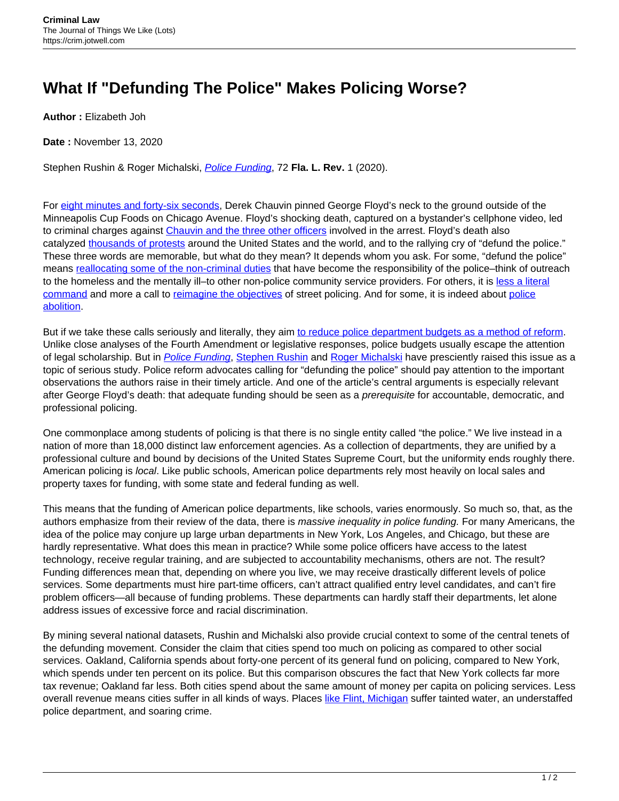## **What If "Defunding The Police" Makes Policing Worse?**

**Author :** Elizabeth Joh

**Date :** November 13, 2020

Stephen Rushin & Roger Michalski, *[Police Funding](http://www.floridalawreview.com/wp-content/uploads/3_Rushin_Michalski7098.pdf)*, 72 Fla. L. Rev. 1 (2020).

For [eight minutes and forty-six seconds](https://www.cnn.com/2020/05/29/us/derek-chauvin-criminal-complaint-trnd/index.html), Derek Chauvin pinned George Floyd's neck to the ground outside of the Minneapolis Cup Foods on Chicago Avenue. Floyd's shocking death, captured on a bystander's cellphone video, led to criminal charges against [Chauvin and the three other officers](https://www.mprnews.org/story/2020/06/03/state-will-investigate-minneapolis-police-in-wake-of-floyds-killing) involved in the arrest. Floyd's death also catalyzed [thousands of protests](https://www.nytimes.com/interactive/2020/06/13/us/george-floyd-protests-cities-photos.html) around the United States and the world, and to the rallying cry of "defund the police." These three words are memorable, but what do they mean? It depends whom you ask. For some, "defund the police" means [reallocating some of the non-criminal duties](https://www.latimes.com/california/story/2020-06-12/san-francisco-police-reforms-stop-response-noncriminal-calls) that have become the responsibility of the police–think of outreach to the homeless and the mentally ill–to other non-police community service providers. For others, it is [less a literal](https://www.washingtonpost.com/local/dont-defund-the-police-reimagine-the-police/2020/06/11/9d827cd0-abe6-11ea-94d2-d7bc43b26bf9_story.html) [command](https://www.washingtonpost.com/local/dont-defund-the-police-reimagine-the-police/2020/06/11/9d827cd0-abe6-11ea-94d2-d7bc43b26bf9_story.html) and more a call to [reimagine the objectives](https://www.washingtonpost.com/opinions/2020/06/12/instead-defund-police-imagine-broader-role-them-public-health/) of street policing. And for some, it is indeed about [police](https://www.nytimes.com/2020/06/12/opinion/sunday/floyd-abolish-defund-police.html) [abolition.](https://www.nytimes.com/2020/06/12/opinion/sunday/floyd-abolish-defund-police.html)

But if we take these calls seriously and literally, they aim [to reduce police department budgets as a method of reform](https://www.nytimes.com/2020/06/12/opinion/sunday/floyd-abolish-defund-police.html). Unlike close analyses of the Fourth Amendment or legislative responses, police budgets usually escape the attention of legal scholarship. But in *[Police Funding](https://ssrn.com/abstract=3542418)*, [Stephen Rushin](https://www.luc.edu/law/faculty/facultyandadministrationprofiles/rushin-stephen.shtml) and [Roger Michalski](https://www.law.ou.edu/directory/roger-michalski) have presciently raised this issue as a topic of serious study. Police reform advocates calling for "defunding the police" should pay attention to the important observations the authors raise in their timely article. And one of the article's central arguments is especially relevant after George Floyd's death: that adequate funding should be seen as a prerequisite for accountable, democratic, and professional policing.

One commonplace among students of policing is that there is no single entity called "the police." We live instead in a nation of more than 18,000 distinct law enforcement agencies. As a collection of departments, they are unified by a professional culture and bound by decisions of the United States Supreme Court, but the uniformity ends roughly there. American policing is local. Like public schools, American police departments rely most heavily on local sales and property taxes for funding, with some state and federal funding as well.

This means that the funding of American police departments, like schools, varies enormously. So much so, that, as the authors emphasize from their review of the data, there is massive inequality in police funding. For many Americans, the idea of the police may conjure up large urban departments in New York, Los Angeles, and Chicago, but these are hardly representative. What does this mean in practice? While some police officers have access to the latest technology, receive regular training, and are subjected to accountability mechanisms, others are not. The result? Funding differences mean that, depending on where you live, we may receive drastically different levels of police services. Some departments must hire part-time officers, can't attract qualified entry level candidates, and can't fire problem officers—all because of funding problems. These departments can hardly staff their departments, let alone address issues of excessive force and racial discrimination.

By mining several national datasets, Rushin and Michalski also provide crucial context to some of the central tenets of the defunding movement. Consider the claim that cities spend too much on policing as compared to other social services. Oakland, California spends about forty-one percent of its general fund on policing, compared to New York, which spends under ten percent on its police. But this comparison obscures the fact that New York collects far more tax revenue; Oakland far less. Both cities spend about the same amount of money per capita on policing services. Less overall revenue means cities suffer in all kinds of ways. Places [like Flint, Michigan](https://www.newyorker.com/culture/photo-booth/inside-a-broken-police-department-in-flint-michigan) suffer tainted water, an understaffed police department, and soaring crime.